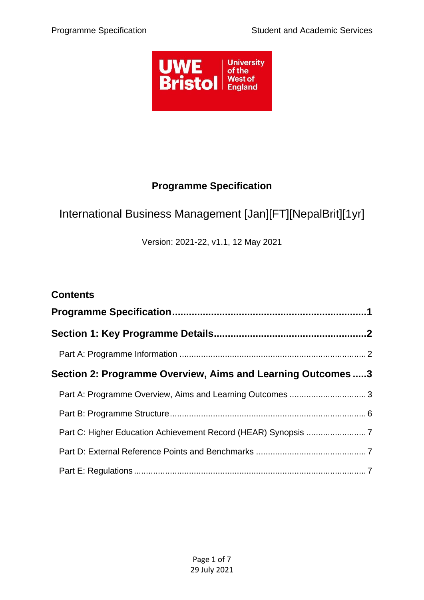

# **Programme Specification**

# <span id="page-0-0"></span>International Business Management [Jan][FT][NepalBrit][1yr]

Version: 2021-22, v1.1, 12 May 2021

| <b>Contents</b>                                             |  |
|-------------------------------------------------------------|--|
|                                                             |  |
|                                                             |  |
|                                                             |  |
| Section 2: Programme Overview, Aims and Learning Outcomes 3 |  |
| Part A: Programme Overview, Aims and Learning Outcomes  3   |  |
|                                                             |  |
|                                                             |  |
|                                                             |  |
|                                                             |  |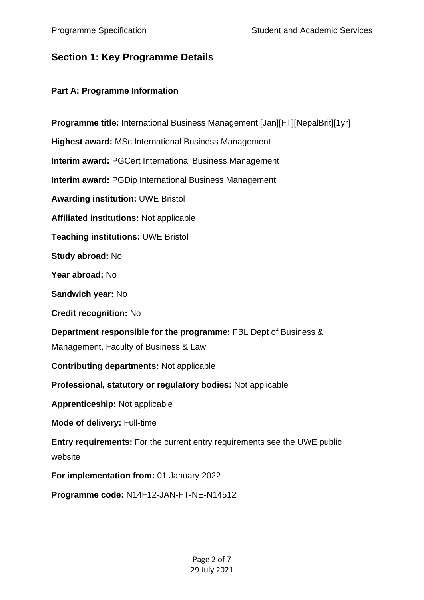# <span id="page-1-0"></span>**Section 1: Key Programme Details**

## <span id="page-1-1"></span>**Part A: Programme Information**

| Programme title: International Business Management [Jan][FT][NepalBrit][1yr]                              |
|-----------------------------------------------------------------------------------------------------------|
| <b>Highest award: MSc International Business Management</b>                                               |
| <b>Interim award: PGCert International Business Management</b>                                            |
| <b>Interim award: PGDip International Business Management</b>                                             |
| <b>Awarding institution: UWE Bristol</b>                                                                  |
| Affiliated institutions: Not applicable                                                                   |
| <b>Teaching institutions: UWE Bristol</b>                                                                 |
| Study abroad: No                                                                                          |
| Year abroad: No                                                                                           |
| Sandwich year: No                                                                                         |
| <b>Credit recognition: No</b>                                                                             |
| Department responsible for the programme: FBL Dept of Business &<br>Management, Faculty of Business & Law |
| <b>Contributing departments: Not applicable</b>                                                           |
| Professional, statutory or regulatory bodies: Not applicable                                              |
| <b>Apprenticeship: Not applicable</b>                                                                     |
| <b>Mode of delivery: Full-time</b>                                                                        |
| Entry requirements: For the current entry requirements see the UWE public<br>website                      |
| For implementation from: 01 January 2022                                                                  |
| Programme code: N14F12-JAN-FT-NE-N14512                                                                   |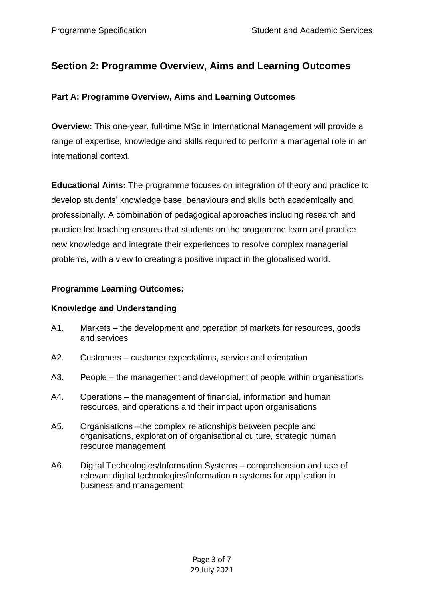## <span id="page-2-0"></span>**Section 2: Programme Overview, Aims and Learning Outcomes**

### <span id="page-2-1"></span>**Part A: Programme Overview, Aims and Learning Outcomes**

**Overview:** This one-year, full-time MSc in International Management will provide a range of expertise, knowledge and skills required to perform a managerial role in an international context.

**Educational Aims:** The programme focuses on integration of theory and practice to develop students' knowledge base, behaviours and skills both academically and professionally. A combination of pedagogical approaches including research and practice led teaching ensures that students on the programme learn and practice new knowledge and integrate their experiences to resolve complex managerial problems, with a view to creating a positive impact in the globalised world.

## **Programme Learning Outcomes:**

### **Knowledge and Understanding**

- A1. Markets the development and operation of markets for resources, goods and services
- A2. Customers customer expectations, service and orientation
- A3. People the management and development of people within organisations
- A4. Operations the management of financial, information and human resources, and operations and their impact upon organisations
- A5. Organisations –the complex relationships between people and organisations, exploration of organisational culture, strategic human resource management
- A6. Digital Technologies/Information Systems comprehension and use of relevant digital technologies/information n systems for application in business and management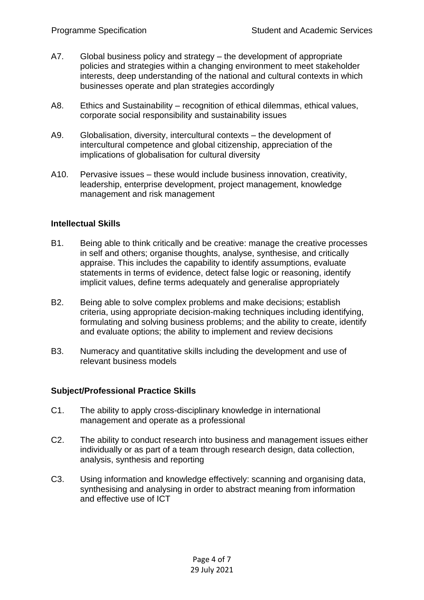- A7. Global business policy and strategy the development of appropriate policies and strategies within a changing environment to meet stakeholder interests, deep understanding of the national and cultural contexts in which businesses operate and plan strategies accordingly
- A8. Ethics and Sustainability recognition of ethical dilemmas, ethical values, corporate social responsibility and sustainability issues
- A9. Globalisation, diversity, intercultural contexts the development of intercultural competence and global citizenship, appreciation of the implications of globalisation for cultural diversity
- A10. Pervasive issues these would include business innovation, creativity, leadership, enterprise development, project management, knowledge management and risk management

#### **Intellectual Skills**

- B1. Being able to think critically and be creative: manage the creative processes in self and others; organise thoughts, analyse, synthesise, and critically appraise. This includes the capability to identify assumptions, evaluate statements in terms of evidence, detect false logic or reasoning, identify implicit values, define terms adequately and generalise appropriately
- B2. Being able to solve complex problems and make decisions; establish criteria, using appropriate decision-making techniques including identifying, formulating and solving business problems; and the ability to create, identify and evaluate options; the ability to implement and review decisions
- B3. Numeracy and quantitative skills including the development and use of relevant business models

#### **Subject/Professional Practice Skills**

- C1. The ability to apply cross-disciplinary knowledge in international management and operate as a professional
- C2. The ability to conduct research into business and management issues either individually or as part of a team through research design, data collection, analysis, synthesis and reporting
- C3. Using information and knowledge effectively: scanning and organising data, synthesising and analysing in order to abstract meaning from information and effective use of ICT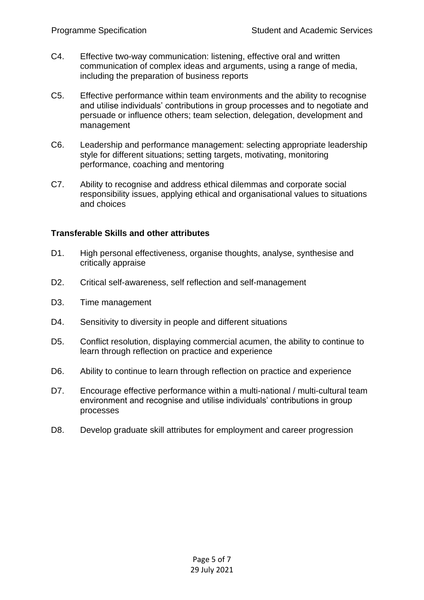- C4. Effective two-way communication: listening, effective oral and written communication of complex ideas and arguments, using a range of media, including the preparation of business reports
- C5. Effective performance within team environments and the ability to recognise and utilise individuals' contributions in group processes and to negotiate and persuade or influence others; team selection, delegation, development and management
- C6. Leadership and performance management: selecting appropriate leadership style for different situations; setting targets, motivating, monitoring performance, coaching and mentoring
- C7. Ability to recognise and address ethical dilemmas and corporate social responsibility issues, applying ethical and organisational values to situations and choices

#### **Transferable Skills and other attributes**

- D1. High personal effectiveness, organise thoughts, analyse, synthesise and critically appraise
- D2. Critical self-awareness, self reflection and self-management
- D3. Time management
- D4. Sensitivity to diversity in people and different situations
- D5. Conflict resolution, displaying commercial acumen, the ability to continue to learn through reflection on practice and experience
- D6. Ability to continue to learn through reflection on practice and experience
- D7. Encourage effective performance within a multi-national / multi-cultural team environment and recognise and utilise individuals' contributions in group processes
- D8. Develop graduate skill attributes for employment and career progression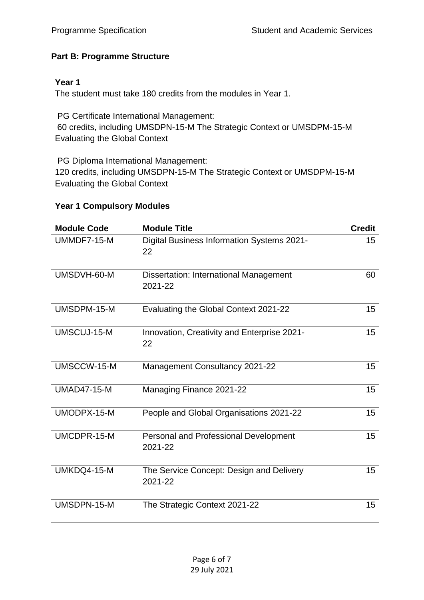## <span id="page-5-0"></span>**Part B: Programme Structure**

### **Year 1**

The student must take 180 credits from the modules in Year 1.

PG Certificate International Management: 60 credits, including UMSDPN-15-M The Strategic Context or UMSDPM-15-M Evaluating the Global Context

PG Diploma International Management: 120 credits, including UMSDPN-15-M The Strategic Context or UMSDPM-15-M Evaluating the Global Context

#### **Year 1 Compulsory Modules**

| <b>Module Code</b> | <b>Module Title</b>                                 | <b>Credit</b> |
|--------------------|-----------------------------------------------------|---------------|
| UMMDF7-15-M        | Digital Business Information Systems 2021-<br>22    | 15            |
| UMSDVH-60-M        | Dissertation: International Management<br>2021-22   | 60            |
| UMSDPM-15-M        | Evaluating the Global Context 2021-22               | 15            |
| UMSCUJ-15-M        | Innovation, Creativity and Enterprise 2021-<br>22   | 15            |
| UMSCCW-15-M        | Management Consultancy 2021-22                      | 15            |
| <b>UMAD47-15-M</b> | Managing Finance 2021-22                            | 15            |
| UMODPX-15-M        | People and Global Organisations 2021-22             | 15            |
| UMCDPR-15-M        | Personal and Professional Development<br>2021-22    | 15            |
| UMKDQ4-15-M        | The Service Concept: Design and Delivery<br>2021-22 | 15            |
| UMSDPN-15-M        | The Strategic Context 2021-22                       | 15            |